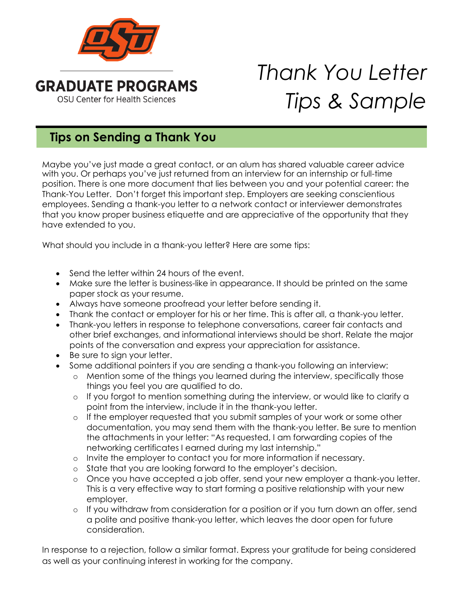

## *Thank You Letter Tips & Sample*

## **Tips on Sending a Thank You**

Maybe you've just made a great contact, or an alum has shared valuable career advice with you. Or perhaps you've just returned from an interview for an internship or full-time position. There is one more document that lies between you and your potential career: the Thank-You Letter. Don't forget this important step. Employers are seeking conscientious employees. Sending a thank-you letter to a network contact or interviewer demonstrates that you know proper business etiquette and are appreciative of the opportunity that they have extended to you.

What should you include in a thank-you letter? Here are some tips:

- Send the letter within 24 hours of the event.
- Make sure the letter is business-like in appearance. It should be printed on the same paper stock as your resume.
- Always have someone proofread your letter before sending it.
- Thank the contact or employer for his or her time. This is after all, a thank-you letter.
- Thank-you letters in response to telephone conversations, career fair contacts and other brief exchanges, and informational interviews should be short. Relate the major points of the conversation and express your appreciation for assistance.
- Be sure to sign your letter.
- Some additional pointers if you are sending a thank-you following an interview:
	- o Mention some of the things you learned during the interview, specifically those things you feel you are qualified to do.
	- o If you forgot to mention something during the interview, or would like to clarify a point from the interview, include it in the thank-you letter.
	- o If the employer requested that you submit samples of your work or some other documentation, you may send them with the thank-you letter. Be sure to mention the attachments in your letter: "As requested, I am forwarding copies of the networking certificates I earned during my last internship."
	- o Invite the employer to contact you for more information if necessary.
	- o State that you are looking forward to the employer's decision.
	- o Once you have accepted a job offer, send your new employer a thank-you letter. This is a very effective way to start forming a positive relationship with your new employer.
	- o If you withdraw from consideration for a position or if you turn down an offer, send a polite and positive thank-you letter, which leaves the door open for future consideration.

In response to a rejection, follow a similar format. Express your gratitude for being considered as well as your continuing interest in working for the company.